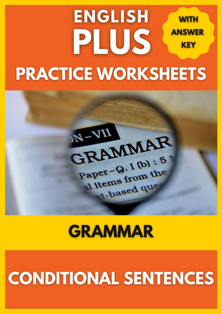### **ENGLISH WITH ANSWER** PLUS **KEY PRACTICE WORKSHEETS**



## **GRAMMAR**

# **CONDITIONAL SENTENCES**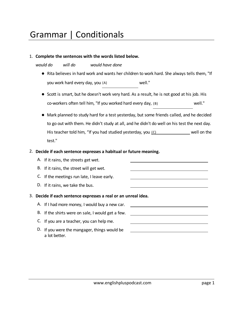### Grammar | Conditionals

#### 1. **Complete the sentences with the words listed below.**

*would do will do would have done*

- Rita believes in hard work and wants her children to work hard. She always tells them, "If you work hard every day, you (A) well."
- Scott is smart, but he doesn't work very hard. As a result, he is not good at his job. His  $co$ -workers often tell him, "If you worked hard every day,  $(B)$  you well."
- Mark planned to study hard for a test yesterday, but some friends called, and he decided to go out with them. He didn't study at all, and he didn't do well on his test the next day. His teacher told him, "If you had studied yesterday, you  $(C)$  well on the test."

#### 2. **Decide if each sentence expresses a habitual or future meaning.**

- A. If it rains, the streets get wet.
- B. If it rains, the street will get wet.
- C. If the meetings run late, I leave early.
- D. If it rains, we take the bus.

#### 3. **Decide if each sentence expresses a real or an unreal idea.**

- A. If I had more money, I would buy a new car.
- B. If the shirts were on sale, I would get a few.
- C. If you are a teacher, you can help me.
- D. If you were the mangager, things would be a lot better.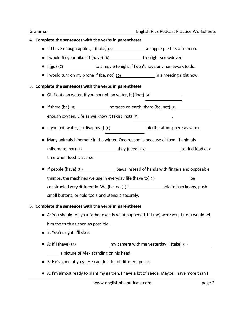#### 4. **Complete the sentences with the verbs in parentheses.**

- $\bullet$  If I have enough apples, I (bake) (A) an apple pie this afternoon.
- I would fix your bike if I (have)  $(B)$  has the right screwdriver.
- $\bullet$   $\mid$  (go) (c) to a movie tonight if I don't have any homework to do.
- I would turn on my phone if (be, not) (D) in a meeting right now.

#### 5. **Complete the sentences with the verbs in parentheses.**

- $\bullet$  Oil floats on water. If you pour oil on water, it (float)  $(A)$
- If there (be)  $(B)$  were no trees on earth, there (be, not)  $(C)$ enough oxygen. Life as we know it (exist, not)  $(D)$
- If you boil water, it (disappear)  $(E)$  discreends into the atmosphere as vapor.
- Many animals hibernate in the winter. One reason is because of food. If animals (hibernate, not)  $(F)$  did not hibernate, not high not high not high not high not high need to find food at a time when food is scarce.
- If people (have) (H) had paws instead of hands with fingers and opposable thumbs, the machines we use in everyday life (have to) (I) would be constructed very differently. We (be, not) (J) able to turn knobs, push small buttons, or hold tools and utensils securely.

#### 6. **Complete the sentences with the verbs in parentheses.**

- A: You should tell your father exactly what happened. If I (be) were you, I (tell) would tell him the truth as soon as possible.
- B: You're right. I'll do it.
- A: If I (have) (A) had had my camera with me yesterday, I (take) (B) would have

a picture of Alex standing on his head.

- B: He's good at yoga. He can do a lot of different poses.
- A: I'm almost ready to plant my garden. I have a lot of seeds. Maybe I have more than I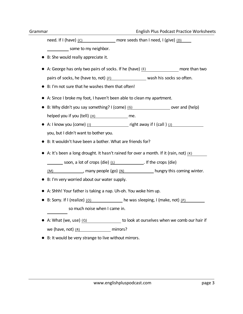need. If I (have)  $(C)$  more seeds than I need, I (give)  $(D)$ 

some to my neighbor.

- B: She would really appreciate it.
- A: George has only two pairs of socks. If he (have)  $(E)$  has more than two pairs of socks, he (have to, not)  $(F)$  wash his socks so often.
- B: I'm not sure that he washes them that often!
- A: Since I broke my foot, I haven't been able to clean my apartment.
- B: Why didn't you say something? I (come)  $(G)$  would not and (help) helped you if you  $(tell)$  (H) had to me.
- A: I know you (come) (I)  $right away if I (call ) (J)$ you, but I didn't want to bother you.
- B: It wouldn't have been a bother. What are friends for?
- $\bullet$  A: It's been a long drought. It hasn't rained for over a month. If it (rain, not) (K)
	- soon, a lot of crops (die)  $(L)$  . If the crops (die)
	- $(M)$  , many people (go)  $(N)$  hungry this coming winter.
- B: I'm very worried about our water supply.
- A: Shhh! Your father is taking a nap. Uh-oh. You woke him up.
- B: Sorry. If I (realize)  $(0)$  he was sleeping, I (make, not)  $(P)$ so much noise when I came in.
- A: What (we, use)  $(Q)$  we use to look at ourselves when we comb our hair if we (have, not)  $(R)$  mirrors?
- B: It would be very strange to live without mirrors.